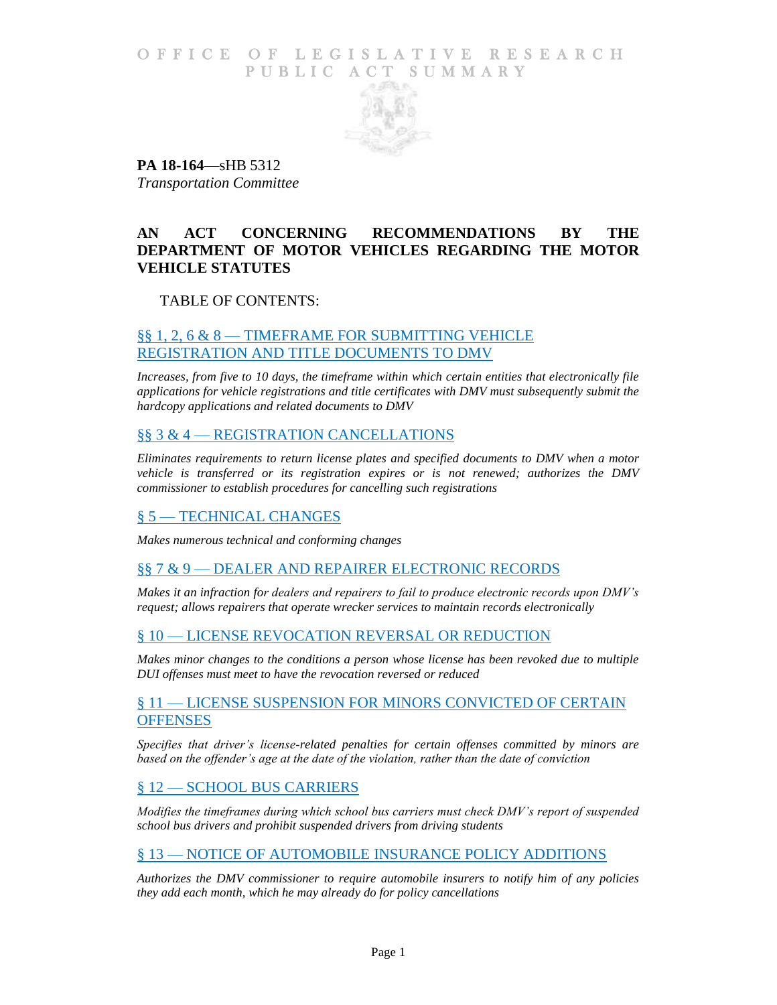## O F F I C E O F L E G I S L A T I V E R E S E A R C H PUBLIC ACT SUMMARY



**PA 18-164**—sHB 5312 *Transportation Committee*

## **AN ACT CONCERNING RECOMMENDATIONS BY THE DEPARTMENT OF MOTOR VEHICLES REGARDING THE MOTOR VEHICLE STATUTES**

## TABLE OF CONTENTS:

## §§ 1, 2, 6 & 8 — [TIMEFRAME FOR SUBMITTING VEHICLE](#page-2-0)  [REGISTRATION AND TITLE DOCUMENTS TO DMV](#page-2-0)

*[Increases, from five to 10 days, the timeframe within which certain entities that electronically file](#page-2-1)  [applications for vehicle registrations and title certificates with DMV must subsequently submit the](#page-2-1)  [hardcopy applications and related documents to DMV](#page-2-1)*

## §§ 3 & 4 — [REGISTRATION CANCELLATIONS](#page-2-2)

*[Eliminates requirements to return license plates and specified documents to DMV when a motor](#page-2-3)  [vehicle is transferred or its registration expires or is not renewed; authorizes the DMV](#page-2-3)  [commissioner to establish procedures for cancelling such registrations](#page-2-3)*

## § 5 — [TECHNICAL CHANGES](#page-3-0)

*[Makes numerous technical and conforming changes](#page-3-1)*

## §§ 7 & 9 — [DEALER AND REPAIRER ELECTRONIC RECORDS](#page-3-2)

*[Makes it an infraction for dealers and repairers to fail to produce electronic records upon DMV's](#page-3-3)  [request; allows repairers that operate wrecker services to maintain records electronically](#page-3-3)*

## § 10 — [LICENSE REVOCATION REVERSAL OR REDUCTION](#page-3-4)

*[Makes minor changes to the conditions a person whose license has been revoked due to multiple](#page-3-5)  [DUI offenses must meet to have the revocation reversed or reduced](#page-3-5)*

### § 11 — LICENSE SUSPENSION FOR MINORS CONVICTED OF CERTAIN **[OFFENSES](#page-4-0)**

*[Specifies that driver's license-related penalties for certain offenses committed by minors are](#page-4-1)  [based on the offender's age at the date of the violation, rather than the date of conviction](#page-4-1)*

## § 12 - [SCHOOL BUS CARRIERS](#page-4-2)

*[Modifies the timeframes during which school bus carriers must check DMV's report of suspended](#page-4-3)  [school bus drivers and prohibit suspended drivers from driving students](#page-4-3)*

## § 13 — NOTICE OF AUTOMOBILE [INSURANCE POLICY ADDITIONS](#page-5-0)

*[Authorizes the DMV commissioner to require automobile insurers to notify him of any policies](#page-5-1)  [they add each month, which he may already do for policy cancellations](#page-5-1)*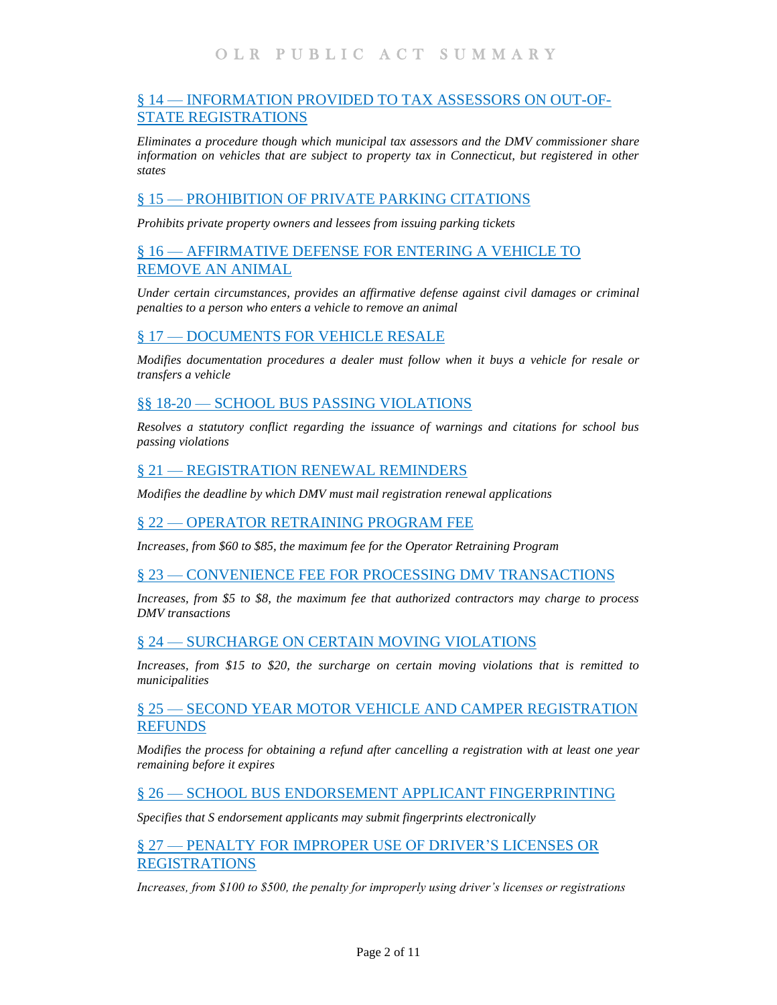## § 14 — INFORMATION PROVIDED [TO TAX ASSESSORS ON OUT-OF-](#page-5-2)[STATE REGISTRATIONS](#page-5-2)

*[Eliminates a procedure though which municipal tax assessors and the DMV commissioner share](#page-5-3)  [information on vehicles that are subject to property tax in Connecticut, but registered in other](#page-5-3)  [states](#page-5-3)*

## § 15 — [PROHIBITION OF PRIVATE PARKING CITATIONS](#page-5-4)

*[Prohibits private property owners and lessees from issuing parking tickets](#page-6-0)*

## § 16 — [AFFIRMATIVE DEFENSE FOR ENTERING A VEHICLE TO](#page-6-1)  [REMOVE AN ANIMAL](#page-6-1)

*[Under certain circumstances, provides an affirmative defense against civil damages or criminal](#page-6-2)  [penalties to a person who enters a vehicle to remove an animal](#page-6-2)*

## § 17 — [DOCUMENTS FOR VEHICLE RESALE](#page-6-3)

*[Modifies documentation procedures a dealer must follow when it buys a vehicle for resale or](#page-6-4)  [transfers a vehicle](#page-6-4)*

## §§ 18-20 — [SCHOOL BUS PASSING VIOLATIONS](#page-7-0)

*[Resolves a statutory conflict regarding the issuance of warnings and citations for school bus](#page-7-1)  [passing violations](#page-7-1)*

### § 21 — [REGISTRATION RENEWAL](#page-7-2) REMINDERS

*[Modifies the deadline by which DMV must mail registration renewal applications](#page-7-3)*

### § 22 — [OPERATOR RETRAINING PROGRAM FEE](#page-7-4)

*[Increases, from \\$60 to \\$85, the maximum fee for the Operator Retraining Program](#page-7-5)*

### § 23 — [CONVENIENCE FEE FOR PROCESSING DMV TRANSACTIONS](#page-8-0)

*[Increases, from \\$5 to \\$8, the maximum fee that authorized contractors may charge to process](#page-8-1)  [DMV transactions](#page-8-1)*

### § 24 — [SURCHARGE ON CERTAIN](#page-8-2) MOVING VIOLATIONS

*[Increases, from \\$15 to \\$20, the surcharge on certain moving violations that is remitted to](#page-8-3)  [municipalities](#page-8-3)*

## § 25 — [SECOND YEAR MOTOR VEHICLE AND CAMPER REGISTRATION](#page-8-4)  [REFUNDS](#page-8-4)

*[Modifies the process for obtaining a refund after cancelling a registration with at least one year](#page-8-5)  [remaining before it expires](#page-8-5)*

### § 26 — [SCHOOL BUS ENDORSEMENT APPLICANT FINGERPRINTING](#page-8-6)

*[Specifies that S endorsement applicants may submit fingerprints electronically](#page-8-7)*

### § 27 — PENALTY FOR IMPROPER [USE OF DRIVER'S LICENSES OR](#page-9-0)  [REGISTRATIONS](#page-9-0)

*[Increases, from \\$100 to \\$500, the penalty for improperly using driver's licenses or registrations](#page-9-1)*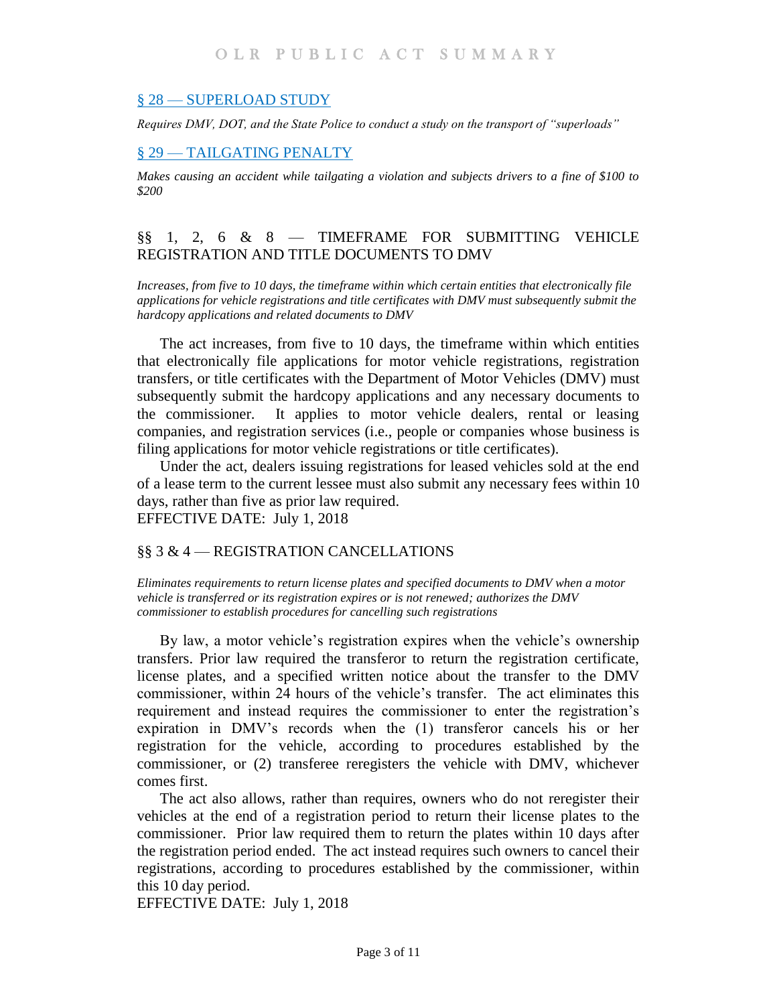### § 28 — [SUPERLOAD STUDY](#page-9-2)

*[Requires DMV, DOT, and the State Police to conduct a study on the transport of "superloads"](#page-9-3)*

### § 29 — [TAILGATING PENALTY](#page-9-4)

*[Makes causing an accident while tailgating a violation and subjects drivers to a fine of \\$100 to](#page-9-5)  [\\$200](#page-9-5)*

## <span id="page-2-0"></span>§§ 1, 2, 6 & 8 — TIMEFRAME FOR SUBMITTING VEHICLE REGISTRATION AND TITLE DOCUMENTS TO DMV

<span id="page-2-1"></span>*Increases, from five to 10 days, the timeframe within which certain entities that electronically file applications for vehicle registrations and title certificates with DMV must subsequently submit the hardcopy applications and related documents to DMV*

The act increases, from five to 10 days, the timeframe within which entities that electronically file applications for motor vehicle registrations, registration transfers, or title certificates with the Department of Motor Vehicles (DMV) must subsequently submit the hardcopy applications and any necessary documents to the commissioner. It applies to motor vehicle dealers, rental or leasing companies, and registration services (i.e., people or companies whose business is filing applications for motor vehicle registrations or title certificates).

Under the act, dealers issuing registrations for leased vehicles sold at the end of a lease term to the current lessee must also submit any necessary fees within 10 days, rather than five as prior law required. EFFECTIVE DATE: July 1, 2018

### <span id="page-2-2"></span>§§ 3 & 4 — REGISTRATION CANCELLATIONS

<span id="page-2-3"></span>*Eliminates requirements to return license plates and specified documents to DMV when a motor vehicle is transferred or its registration expires or is not renewed; authorizes the DMV commissioner to establish procedures for cancelling such registrations*

By law, a motor vehicle's registration expires when the vehicle's ownership transfers. Prior law required the transferor to return the registration certificate, license plates, and a specified written notice about the transfer to the DMV commissioner, within 24 hours of the vehicle's transfer. The act eliminates this requirement and instead requires the commissioner to enter the registration's expiration in DMV's records when the (1) transferor cancels his or her registration for the vehicle, according to procedures established by the commissioner, or (2) transferee reregisters the vehicle with DMV, whichever comes first.

The act also allows, rather than requires, owners who do not reregister their vehicles at the end of a registration period to return their license plates to the commissioner. Prior law required them to return the plates within 10 days after the registration period ended. The act instead requires such owners to cancel their registrations, according to procedures established by the commissioner, within this 10 day period.

EFFECTIVE DATE: July 1, 2018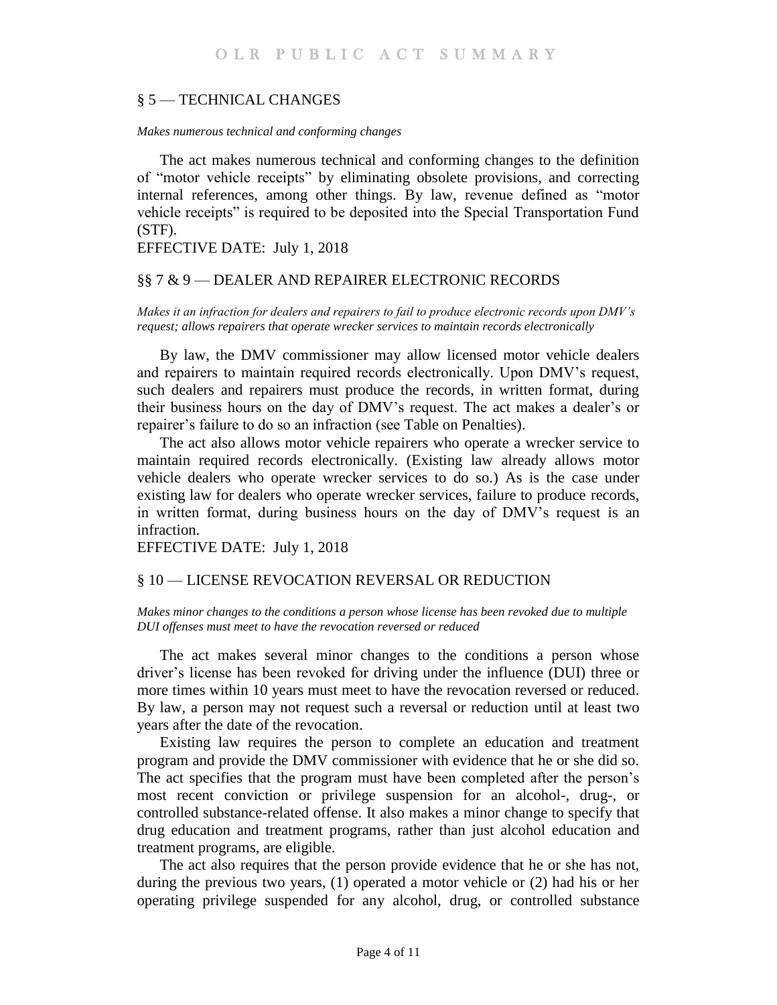### <span id="page-3-0"></span>§ 5 — TECHNICAL CHANGES

#### <span id="page-3-1"></span>*Makes numerous technical and conforming changes*

The act makes numerous technical and conforming changes to the definition of "motor vehicle receipts" by eliminating obsolete provisions, and correcting internal references, among other things. By law, revenue defined as "motor vehicle receipts" is required to be deposited into the Special Transportation Fund (STF).

EFFECTIVE DATE: July 1, 2018

## <span id="page-3-2"></span>§§ 7 & 9 — DEALER AND REPAIRER ELECTRONIC RECORDS

<span id="page-3-3"></span>*Makes it an infraction for dealers and repairers to fail to produce electronic records upon DMV's request; allows repairers that operate wrecker services to maintain records electronically* 

By law, the DMV commissioner may allow licensed motor vehicle dealers and repairers to maintain required records electronically. Upon DMV's request, such dealers and repairers must produce the records, in written format, during their business hours on the day of DMV's request. The act makes a dealer's or repairer's failure to do so an infraction (see Table on Penalties).

The act also allows motor vehicle repairers who operate a wrecker service to maintain required records electronically. (Existing law already allows motor vehicle dealers who operate wrecker services to do so.) As is the case under existing law for dealers who operate wrecker services, failure to produce records, in written format, during business hours on the day of DMV's request is an infraction.

EFFECTIVE DATE: July 1, 2018

### <span id="page-3-4"></span>§ 10 — LICENSE REVOCATION REVERSAL OR REDUCTION

#### <span id="page-3-5"></span>*Makes minor changes to the conditions a person whose license has been revoked due to multiple DUI offenses must meet to have the revocation reversed or reduced*

The act makes several minor changes to the conditions a person whose driver's license has been revoked for driving under the influence (DUI) three or more times within 10 years must meet to have the revocation reversed or reduced. By law, a person may not request such a reversal or reduction until at least two years after the date of the revocation.

Existing law requires the person to complete an education and treatment program and provide the DMV commissioner with evidence that he or she did so. The act specifies that the program must have been completed after the person's most recent conviction or privilege suspension for an alcohol-, drug-, or controlled substance-related offense. It also makes a minor change to specify that drug education and treatment programs, rather than just alcohol education and treatment programs, are eligible.

The act also requires that the person provide evidence that he or she has not, during the previous two years, (1) operated a motor vehicle or (2) had his or her operating privilege suspended for any alcohol, drug, or controlled substance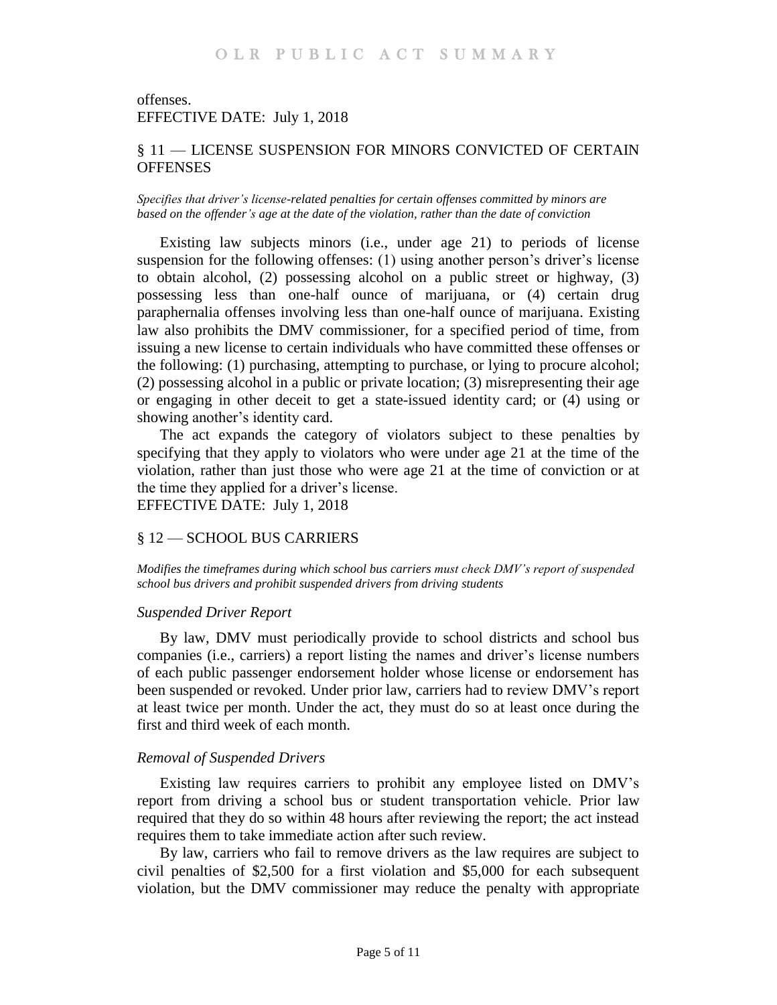offenses. EFFECTIVE DATE: July 1, 2018

## <span id="page-4-0"></span>§ 11 — LICENSE SUSPENSION FOR MINORS CONVICTED OF CERTAIN **OFFENSES**

<span id="page-4-1"></span>*Specifies that driver's license-related penalties for certain offenses committed by minors are based on the offender's age at the date of the violation, rather than the date of conviction*

Existing law subjects minors (i.e., under age 21) to periods of license suspension for the following offenses: (1) using another person's driver's license to obtain alcohol, (2) possessing alcohol on a public street or highway, (3) possessing less than one-half ounce of marijuana, or (4) certain drug paraphernalia offenses involving less than one-half ounce of marijuana. Existing law also prohibits the DMV commissioner, for a specified period of time, from issuing a new license to certain individuals who have committed these offenses or the following: (1) purchasing, attempting to purchase, or lying to procure alcohol; (2) possessing alcohol in a public or private location; (3) misrepresenting their age or engaging in other deceit to get a state-issued identity card; or (4) using or showing another's identity card.

The act expands the category of violators subject to these penalties by specifying that they apply to violators who were under age 21 at the time of the violation, rather than just those who were age 21 at the time of conviction or at the time they applied for a driver's license. EFFECTIVE DATE: July 1, 2018

## <span id="page-4-2"></span>§ 12 — SCHOOL BUS CARRIERS

<span id="page-4-3"></span>*Modifies the timeframes during which school bus carriers must check DMV's report of suspended school bus drivers and prohibit suspended drivers from driving students*

### *Suspended Driver Report*

By law, DMV must periodically provide to school districts and school bus companies (i.e., carriers) a report listing the names and driver's license numbers of each public passenger endorsement holder whose license or endorsement has been suspended or revoked. Under prior law, carriers had to review DMV's report at least twice per month. Under the act, they must do so at least once during the first and third week of each month.

### *Removal of Suspended Drivers*

Existing law requires carriers to prohibit any employee listed on DMV's report from driving a school bus or student transportation vehicle. Prior law required that they do so within 48 hours after reviewing the report; the act instead requires them to take immediate action after such review.

By law, carriers who fail to remove drivers as the law requires are subject to civil penalties of \$2,500 for a first violation and \$5,000 for each subsequent violation, but the DMV commissioner may reduce the penalty with appropriate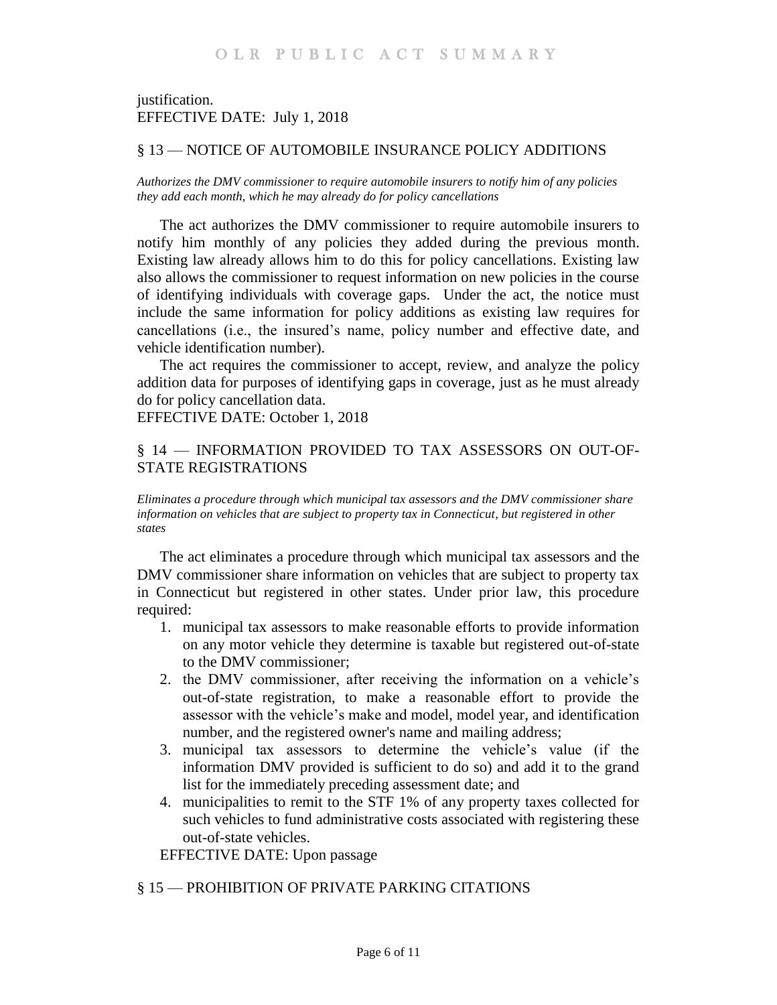## justification. EFFECTIVE DATE: July 1, 2018

## <span id="page-5-0"></span>§ 13 — NOTICE OF AUTOMOBILE INSURANCE POLICY ADDITIONS

<span id="page-5-1"></span>*Authorizes the DMV commissioner to require automobile insurers to notify him of any policies they add each month, which he may already do for policy cancellations*

The act authorizes the DMV commissioner to require automobile insurers to notify him monthly of any policies they added during the previous month. Existing law already allows him to do this for policy cancellations. Existing law also allows the commissioner to request information on new policies in the course of identifying individuals with coverage gaps. Under the act, the notice must include the same information for policy additions as existing law requires for cancellations (i.e., the insured's name, policy number and effective date, and vehicle identification number).

The act requires the commissioner to accept, review, and analyze the policy addition data for purposes of identifying gaps in coverage, just as he must already do for policy cancellation data.

EFFECTIVE DATE: October 1, 2018

## <span id="page-5-2"></span>§ 14 — INFORMATION PROVIDED TO TAX ASSESSORS ON OUT-OF-STATE REGISTRATIONS

<span id="page-5-3"></span>*Eliminates a procedure through which municipal tax assessors and the DMV commissioner share information on vehicles that are subject to property tax in Connecticut, but registered in other states* 

The act eliminates a procedure through which municipal tax assessors and the DMV commissioner share information on vehicles that are subject to property tax in Connecticut but registered in other states. Under prior law, this procedure required:

- 1. municipal tax assessors to make reasonable efforts to provide information on any motor vehicle they determine is taxable but registered out-of-state to the DMV commissioner;
- 2. the DMV commissioner, after receiving the information on a vehicle's out-of-state registration, to make a reasonable effort to provide the assessor with the vehicle's make and model, model year, and identification number, and the registered owner's name and mailing address;
- 3. municipal tax assessors to determine the vehicle's value (if the information DMV provided is sufficient to do so) and add it to the grand list for the immediately preceding assessment date; and
- 4. municipalities to remit to the STF 1% of any property taxes collected for such vehicles to fund administrative costs associated with registering these out-of-state vehicles.

EFFECTIVE DATE: Upon passage

### <span id="page-5-4"></span>§ 15 — PROHIBITION OF PRIVATE PARKING CITATIONS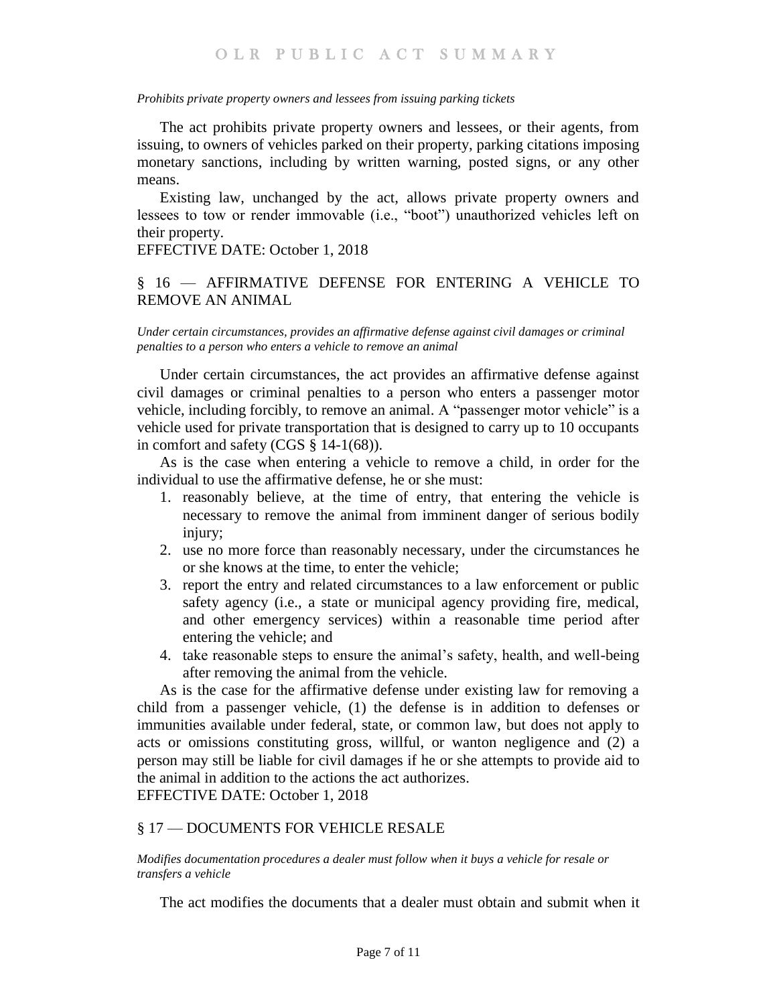### <span id="page-6-0"></span>*Prohibits private property owners and lessees from issuing parking tickets*

The act prohibits private property owners and lessees, or their agents, from issuing, to owners of vehicles parked on their property, parking citations imposing monetary sanctions, including by written warning, posted signs, or any other means.

Existing law, unchanged by the act, allows private property owners and lessees to tow or render immovable (i.e., "boot") unauthorized vehicles left on their property.

EFFECTIVE DATE: October 1, 2018

## <span id="page-6-1"></span>§ 16 — AFFIRMATIVE DEFENSE FOR ENTERING A VEHICLE TO REMOVE AN ANIMAL

<span id="page-6-2"></span>*Under certain circumstances, provides an affirmative defense against civil damages or criminal penalties to a person who enters a vehicle to remove an animal*

Under certain circumstances, the act provides an affirmative defense against civil damages or criminal penalties to a person who enters a passenger motor vehicle, including forcibly, to remove an animal. A "passenger motor vehicle" is a vehicle used for private transportation that is designed to carry up to 10 occupants in comfort and safety (CGS § 14-1(68)).

As is the case when entering a vehicle to remove a child, in order for the individual to use the affirmative defense, he or she must:

- 1. reasonably believe, at the time of entry, that entering the vehicle is necessary to remove the animal from imminent danger of serious bodily injury;
- 2. use no more force than reasonably necessary, under the circumstances he or she knows at the time, to enter the vehicle;
- 3. report the entry and related circumstances to a law enforcement or public safety agency (i.e., a state or municipal agency providing fire, medical, and other emergency services) within a reasonable time period after entering the vehicle; and
- 4. take reasonable steps to ensure the animal's safety, health, and well-being after removing the animal from the vehicle.

As is the case for the affirmative defense under existing law for removing a child from a passenger vehicle, (1) the defense is in addition to defenses or immunities available under federal, state, or common law, but does not apply to acts or omissions constituting gross, willful, or wanton negligence and (2) a person may still be liable for civil damages if he or she attempts to provide aid to the animal in addition to the actions the act authorizes. EFFECTIVE DATE: October 1, 2018

### <span id="page-6-3"></span>§ 17 — DOCUMENTS FOR VEHICLE RESALE

<span id="page-6-4"></span>*Modifies documentation procedures a dealer must follow when it buys a vehicle for resale or transfers a vehicle*

The act modifies the documents that a dealer must obtain and submit when it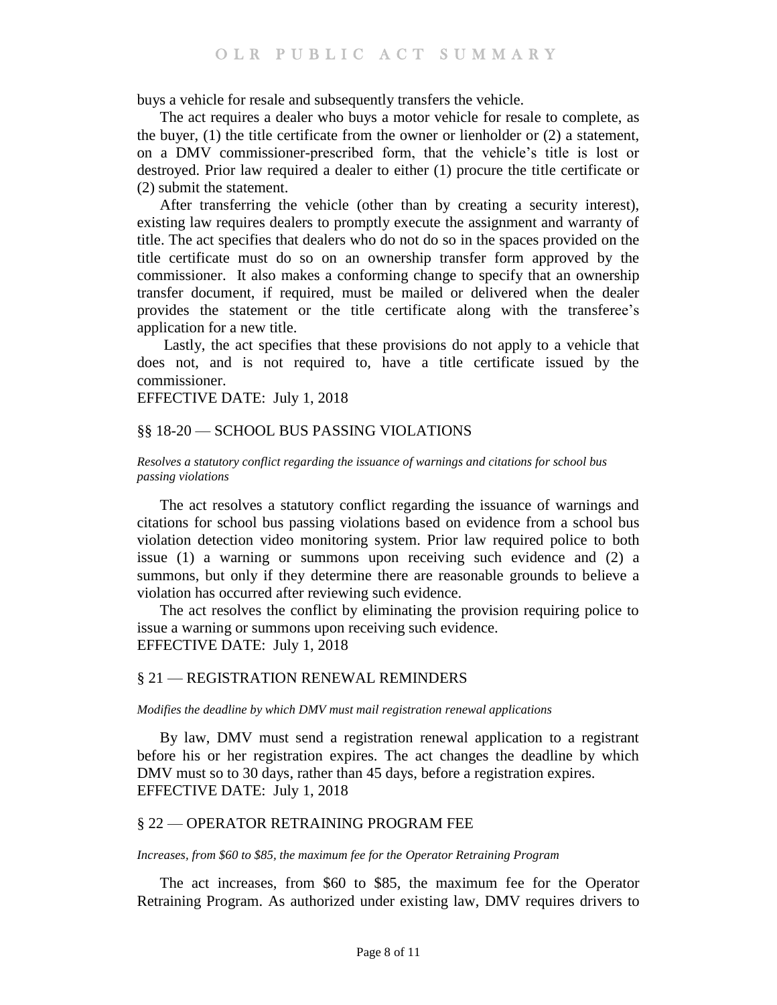buys a vehicle for resale and subsequently transfers the vehicle.

The act requires a dealer who buys a motor vehicle for resale to complete, as the buyer,  $(1)$  the title certificate from the owner or lienholder or  $(2)$  a statement, on a DMV commissioner-prescribed form, that the vehicle's title is lost or destroyed. Prior law required a dealer to either (1) procure the title certificate or (2) submit the statement.

After transferring the vehicle (other than by creating a security interest), existing law requires dealers to promptly execute the assignment and warranty of title. The act specifies that dealers who do not do so in the spaces provided on the title certificate must do so on an ownership transfer form approved by the commissioner. It also makes a conforming change to specify that an ownership transfer document, if required, must be mailed or delivered when the dealer provides the statement or the title certificate along with the transferee's application for a new title.

Lastly, the act specifies that these provisions do not apply to a vehicle that does not, and is not required to, have a title certificate issued by the commissioner.

EFFECTIVE DATE: July 1, 2018

### <span id="page-7-0"></span>§§ 18-20 — SCHOOL BUS PASSING VIOLATIONS

<span id="page-7-1"></span>*Resolves a statutory conflict regarding the issuance of warnings and citations for school bus passing violations* 

The act resolves a statutory conflict regarding the issuance of warnings and citations for school bus passing violations based on evidence from a school bus violation detection video monitoring system. Prior law required police to both issue (1) a warning or summons upon receiving such evidence and (2) a summons, but only if they determine there are reasonable grounds to believe a violation has occurred after reviewing such evidence.

The act resolves the conflict by eliminating the provision requiring police to issue a warning or summons upon receiving such evidence. EFFECTIVE DATE: July 1, 2018

### <span id="page-7-2"></span>§ 21 — REGISTRATION RENEWAL REMINDERS

<span id="page-7-3"></span>*Modifies the deadline by which DMV must mail registration renewal applications*

By law, DMV must send a registration renewal application to a registrant before his or her registration expires. The act changes the deadline by which DMV must so to 30 days, rather than 45 days, before a registration expires. EFFECTIVE DATE: July 1, 2018

## <span id="page-7-4"></span>§ 22 — OPERATOR RETRAINING PROGRAM FEE

### <span id="page-7-5"></span>*Increases, from \$60 to \$85, the maximum fee for the Operator Retraining Program*

The act increases, from \$60 to \$85, the maximum fee for the Operator Retraining Program. As authorized under existing law, DMV requires drivers to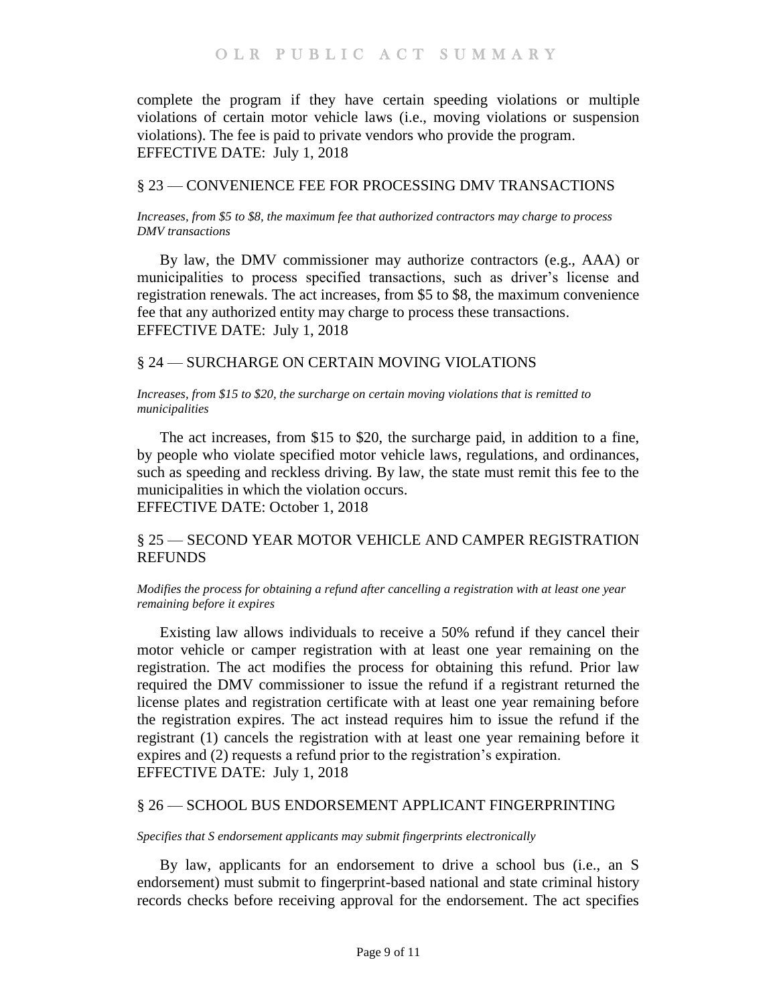complete the program if they have certain speeding violations or multiple violations of certain motor vehicle laws (i.e., moving violations or suspension violations). The fee is paid to private vendors who provide the program. EFFECTIVE DATE: July 1, 2018

## <span id="page-8-0"></span>§ 23 — CONVENIENCE FEE FOR PROCESSING DMV TRANSACTIONS

<span id="page-8-1"></span>*Increases, from \$5 to \$8, the maximum fee that authorized contractors may charge to process DMV transactions*

By law, the DMV commissioner may authorize contractors (e.g., AAA) or municipalities to process specified transactions, such as driver's license and registration renewals. The act increases, from \$5 to \$8, the maximum convenience fee that any authorized entity may charge to process these transactions. EFFECTIVE DATE: July 1, 2018

## <span id="page-8-2"></span>§ 24 — SURCHARGE ON CERTAIN MOVING VIOLATIONS

<span id="page-8-3"></span>*Increases, from \$15 to \$20, the surcharge on certain moving violations that is remitted to municipalities*

The act increases, from \$15 to \$20, the surcharge paid, in addition to a fine, by people who violate specified motor vehicle laws, regulations, and ordinances, such as speeding and reckless driving. By law, the state must remit this fee to the municipalities in which the violation occurs. EFFECTIVE DATE: October 1, 2018

## <span id="page-8-4"></span>§ 25 — SECOND YEAR MOTOR VEHICLE AND CAMPER REGISTRATION **REFUNDS**

### <span id="page-8-5"></span>*Modifies the process for obtaining a refund after cancelling a registration with at least one year remaining before it expires*

Existing law allows individuals to receive a 50% refund if they cancel their motor vehicle or camper registration with at least one year remaining on the registration. The act modifies the process for obtaining this refund. Prior law required the DMV commissioner to issue the refund if a registrant returned the license plates and registration certificate with at least one year remaining before the registration expires. The act instead requires him to issue the refund if the registrant (1) cancels the registration with at least one year remaining before it expires and (2) requests a refund prior to the registration's expiration. EFFECTIVE DATE: July 1, 2018

### <span id="page-8-6"></span>§ 26 — SCHOOL BUS ENDORSEMENT APPLICANT FINGERPRINTING

<span id="page-8-7"></span>*Specifies that S endorsement applicants may submit fingerprints electronically*

By law, applicants for an endorsement to drive a school bus (i.e., an S endorsement) must submit to fingerprint-based national and state criminal history records checks before receiving approval for the endorsement. The act specifies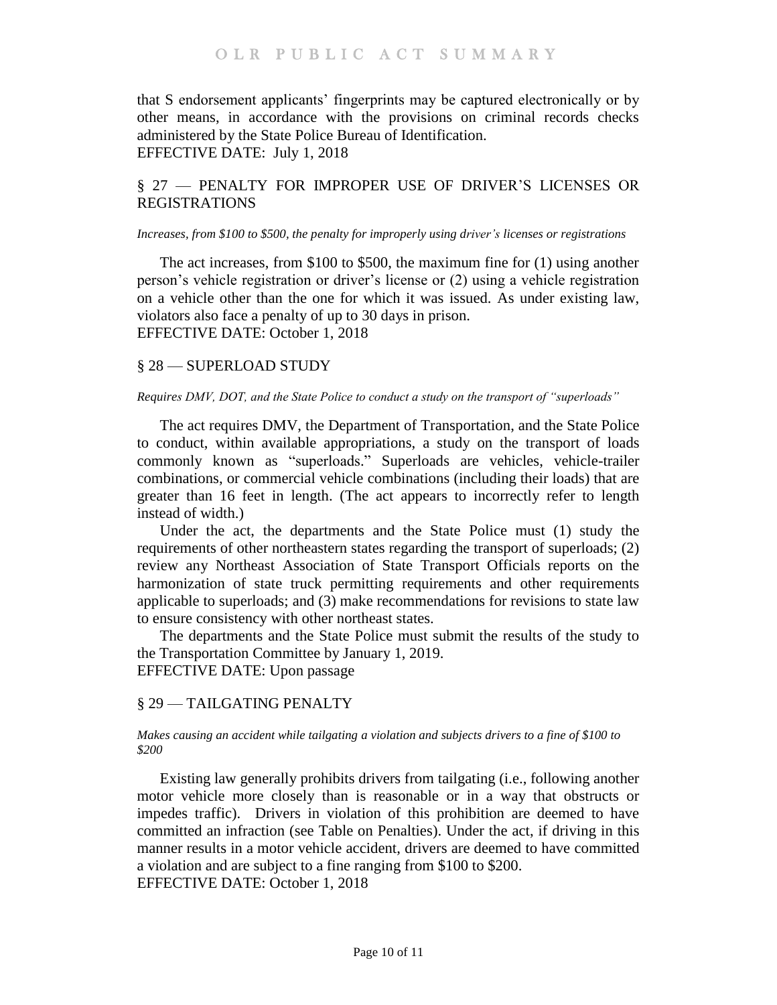that S endorsement applicants' fingerprints may be captured electronically or by other means, in accordance with the provisions on criminal records checks administered by the State Police Bureau of Identification. EFFECTIVE DATE: July 1, 2018

## <span id="page-9-0"></span>§ 27 — PENALTY FOR IMPROPER USE OF DRIVER'S LICENSES OR REGISTRATIONS

### <span id="page-9-1"></span>*Increases, from \$100 to \$500, the penalty for improperly using driver's licenses or registrations*

The act increases, from \$100 to \$500, the maximum fine for (1) using another person's vehicle registration or driver's license or (2) using a vehicle registration on a vehicle other than the one for which it was issued. As under existing law, violators also face a penalty of up to 30 days in prison. EFFECTIVE DATE: October 1, 2018

## <span id="page-9-2"></span>§ 28 — SUPERLOAD STUDY

### <span id="page-9-3"></span>*Requires DMV, DOT, and the State Police to conduct a study on the transport of "superloads"*

The act requires DMV, the Department of Transportation, and the State Police to conduct, within available appropriations, a study on the transport of loads commonly known as "superloads." Superloads are vehicles, vehicle-trailer combinations, or commercial vehicle combinations (including their loads) that are greater than 16 feet in length. (The act appears to incorrectly refer to length instead of width.)

Under the act, the departments and the State Police must (1) study the requirements of other northeastern states regarding the transport of superloads; (2) review any Northeast Association of State Transport Officials reports on the harmonization of state truck permitting requirements and other requirements applicable to superloads; and (3) make recommendations for revisions to state law to ensure consistency with other northeast states.

The departments and the State Police must submit the results of the study to the Transportation Committee by January 1, 2019. EFFECTIVE DATE: Upon passage

## <span id="page-9-4"></span>§ 29 — TAILGATING PENALTY

#### <span id="page-9-5"></span>*Makes causing an accident while tailgating a violation and subjects drivers to a fine of \$100 to \$200*

Existing law generally prohibits drivers from tailgating (i.e., following another motor vehicle more closely than is reasonable or in a way that obstructs or impedes traffic). Drivers in violation of this prohibition are deemed to have committed an infraction (see Table on Penalties). Under the act, if driving in this manner results in a motor vehicle accident, drivers are deemed to have committed a violation and are subject to a fine ranging from \$100 to \$200. EFFECTIVE DATE: October 1, 2018